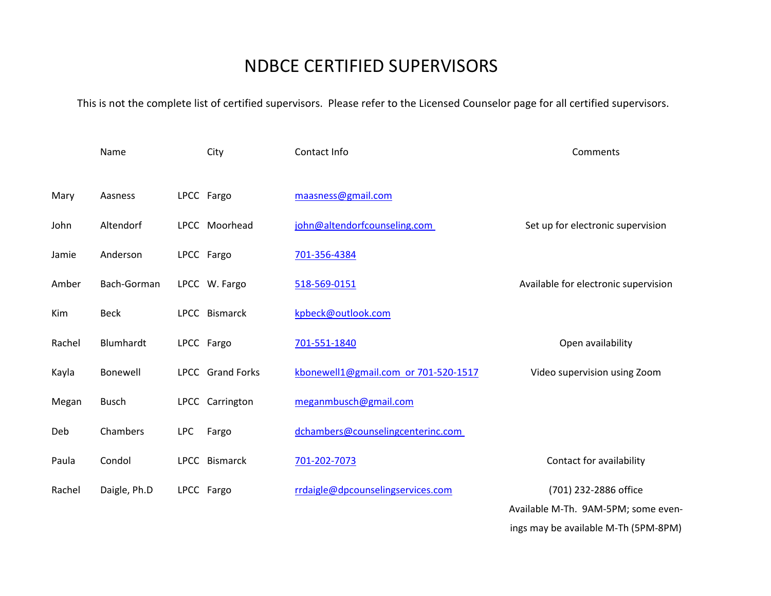## NDBCE CERTIFIED SUPERVISORS

This is not the complete list of certified supervisors. Please refer to the Licensed Counselor page for all certified supervisors.

|        | Name         |            | City             | Contact Info                         | Comments                             |
|--------|--------------|------------|------------------|--------------------------------------|--------------------------------------|
| Mary   | Aasness      |            | LPCC Fargo       | maasness@gmail.com                   |                                      |
| John   | Altendorf    |            | LPCC Moorhead    | john@altendorfcounseling.com         | Set up for electronic supervision    |
| Jamie  | Anderson     |            | LPCC Fargo       | 701-356-4384                         |                                      |
| Amber  | Bach-Gorman  |            | LPCC W. Fargo    | 518-569-0151                         | Available for electronic supervision |
| Kim    | <b>Beck</b>  |            | LPCC Bismarck    | kpbeck@outlook.com                   |                                      |
| Rachel | Blumhardt    |            | LPCC Fargo       | 701-551-1840                         | Open availability                    |
| Kayla  | Bonewell     |            | LPCC Grand Forks | kbonewell1@gmail.com or 701-520-1517 | Video supervision using Zoom         |
| Megan  | <b>Busch</b> |            | LPCC Carrington  | meganmbusch@gmail.com                |                                      |
| Deb    | Chambers     | <b>LPC</b> | Fargo            | dchambers@counselingcenterinc.com    |                                      |
| Paula  | Condol       |            | LPCC Bismarck    | 701-202-7073                         | Contact for availability             |
| Rachel | Daigle, Ph.D |            | LPCC Fargo       | rrdaigle@dpcounselingservices.com    | (701) 232-2886 office                |
|        |              |            |                  |                                      | Available M-Th. 9AM-5PM; some even-  |

ings may be available M-Th (5PM-8PM)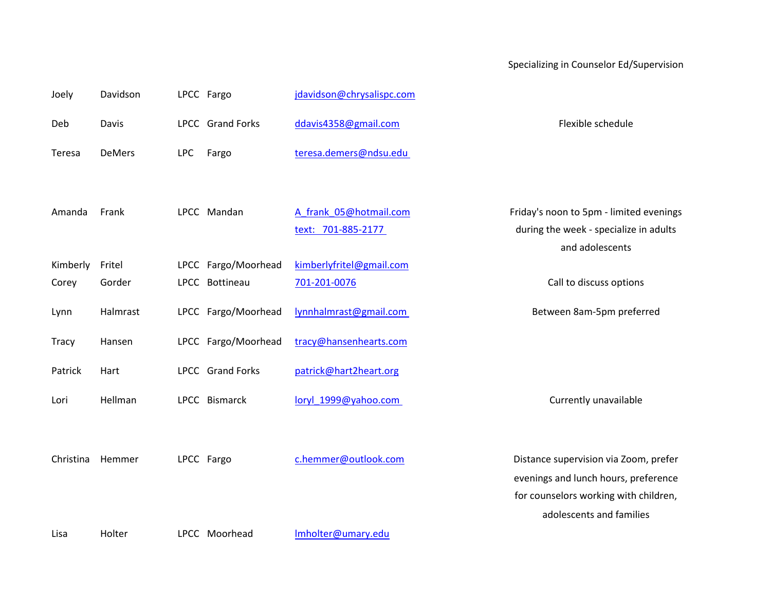## Specializing in Counselor Ed/Supervision

| Joely        | Davidson |            | LPCC Fargo              | jdavidson@chrysalispc.com |                                         |
|--------------|----------|------------|-------------------------|---------------------------|-----------------------------------------|
| Deb          | Davis    |            | LPCC Grand Forks        | ddavis4358@gmail.com      | Flexible schedule                       |
| Teresa       | DeMers   | <b>LPC</b> | Fargo                   | teresa.demers@ndsu.edu    |                                         |
|              |          |            |                         |                           |                                         |
| Amanda       | Frank    |            | LPCC Mandan             | A frank 05@hotmail.com    | Friday's noon to 5pm - limited evenings |
|              |          |            |                         | text: 701-885-2177        | during the week - specialize in adults  |
|              |          |            |                         |                           | and adolescents                         |
| Kimberly     | Fritel   |            | LPCC Fargo/Moorhead     | kimberlyfritel@gmail.com  |                                         |
| Corey        | Gorder   |            | LPCC Bottineau          | 701-201-0076              | Call to discuss options                 |
| Lynn         | Halmrast |            | LPCC Fargo/Moorhead     | lynnhalmrast@gmail.com    | Between 8am-5pm preferred               |
| <b>Tracy</b> | Hansen   |            | LPCC Fargo/Moorhead     | tracy@hansenhearts.com    |                                         |
| Patrick      | Hart     |            | <b>LPCC</b> Grand Forks | patrick@hart2heart.org    |                                         |
| Lori         | Hellman  |            | LPCC Bismarck           | loryl_1999@yahoo.com      | Currently unavailable                   |
|              |          |            |                         |                           |                                         |
| Christina    | Hemmer   |            | LPCC Fargo              | c.hemmer@outlook.com      | Distance supervision via Zoom, prefer   |
|              |          |            |                         |                           | evenings and lunch hours, preference    |
|              |          |            |                         |                           | for counselors working with children,   |
|              |          |            |                         |                           | adolescents and families                |
| Lisa         | Holter   |            | LPCC Moorhead           | Imholter@umary.edu        |                                         |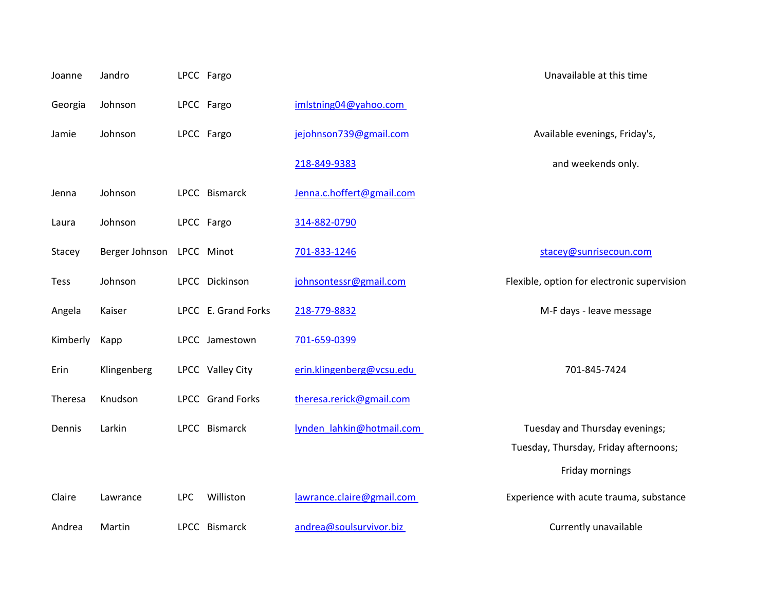| Joanne      | Jandro         |            | LPCC Fargo          |                           | Unavailable at this time                    |
|-------------|----------------|------------|---------------------|---------------------------|---------------------------------------------|
| Georgia     | Johnson        |            | LPCC Fargo          | imlstning04@yahoo.com     |                                             |
| Jamie       | Johnson        |            | LPCC Fargo          | jejohnson739@gmail.com    | Available evenings, Friday's,               |
|             |                |            |                     | 218-849-9383              | and weekends only.                          |
| Jenna       | Johnson        |            | LPCC Bismarck       | Jenna.c.hoffert@gmail.com |                                             |
| Laura       | Johnson        |            | LPCC Fargo          | 314-882-0790              |                                             |
| Stacey      | Berger Johnson |            | LPCC Minot          | 701-833-1246              | stacey@sunrisecoun.com                      |
| <b>Tess</b> | Johnson        |            | LPCC Dickinson      | johnsontessr@gmail.com    | Flexible, option for electronic supervision |
| Angela      | Kaiser         |            | LPCC E. Grand Forks | 218-779-8832              | M-F days - leave message                    |
| Kimberly    | Kapp           |            | LPCC Jamestown      | 701-659-0399              |                                             |
| Erin        | Klingenberg    |            | LPCC Valley City    | erin.klingenberg@vcsu.edu | 701-845-7424                                |
| Theresa     | Knudson        |            | LPCC Grand Forks    | theresa.rerick@gmail.com  |                                             |
| Dennis      | Larkin         |            | LPCC Bismarck       | lynden lahkin@hotmail.com | Tuesday and Thursday evenings;              |
|             |                |            |                     |                           | Tuesday, Thursday, Friday afternoons;       |
|             |                |            |                     |                           | Friday mornings                             |
| Claire      | Lawrance       | <b>LPC</b> | Williston           | lawrance.claire@gmail.com | Experience with acute trauma, substance     |
| Andrea      | Martin         |            | LPCC Bismarck       | andrea@soulsurvivor.biz   | Currently unavailable                       |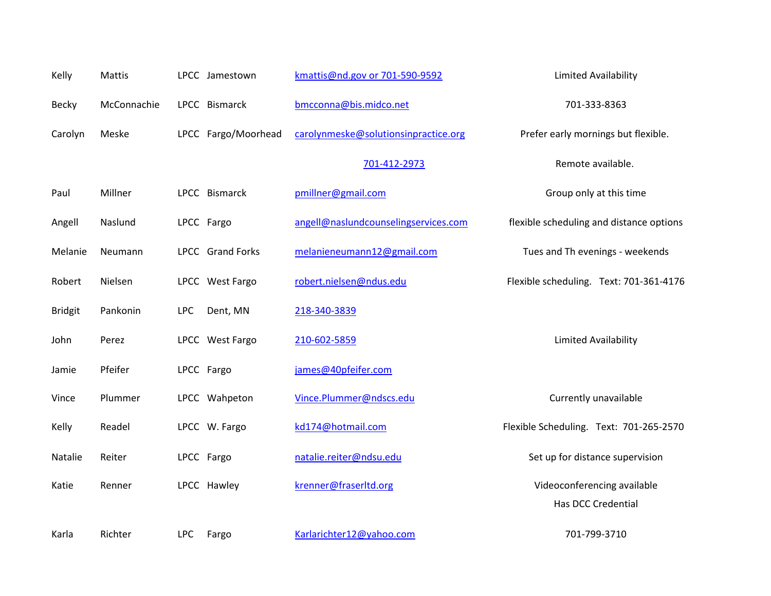| Kelly          | Mattis      |            | LPCC Jamestown      | kmattis@nd.gov or 701-590-9592       | Limited Availability                     |
|----------------|-------------|------------|---------------------|--------------------------------------|------------------------------------------|
| <b>Becky</b>   | McConnachie |            | LPCC Bismarck       | bmcconna@bis.midco.net               | 701-333-8363                             |
| Carolyn        | Meske       |            | LPCC Fargo/Moorhead | carolynmeske@solutionsinpractice.org | Prefer early mornings but flexible.      |
|                |             |            |                     | 701-412-2973                         | Remote available.                        |
| Paul           | Millner     |            | LPCC Bismarck       | pmillner@gmail.com                   | Group only at this time                  |
| Angell         | Naslund     |            | LPCC Fargo          | angell@naslundcounselingservices.com | flexible scheduling and distance options |
| Melanie        | Neumann     |            | LPCC Grand Forks    | melanieneumann12@gmail.com           | Tues and Th evenings - weekends          |
| Robert         | Nielsen     |            | LPCC West Fargo     | robert.nielsen@ndus.edu              | Flexible scheduling. Text: 701-361-4176  |
| <b>Bridgit</b> | Pankonin    | <b>LPC</b> | Dent, MN            | 218-340-3839                         |                                          |
| John           | Perez       |            | LPCC West Fargo     | 210-602-5859                         | Limited Availability                     |
| Jamie          | Pfeifer     |            | LPCC Fargo          | james@40pfeifer.com                  |                                          |
| Vince          | Plummer     |            | LPCC Wahpeton       | Vince.Plummer@ndscs.edu              | Currently unavailable                    |
| Kelly          | Readel      |            | LPCC W. Fargo       | kd174@hotmail.com                    | Flexible Scheduling. Text: 701-265-2570  |
| Natalie        | Reiter      |            | LPCC Fargo          | natalie.reiter@ndsu.edu              | Set up for distance supervision          |
| Katie          | Renner      |            | LPCC Hawley         | krenner@fraserltd.org                | Videoconferencing available              |
|                |             |            |                     |                                      | Has DCC Credential                       |
| Karla          | Richter     | <b>LPC</b> | Fargo               | Karlarichter12@yahoo.com             | 701-799-3710                             |